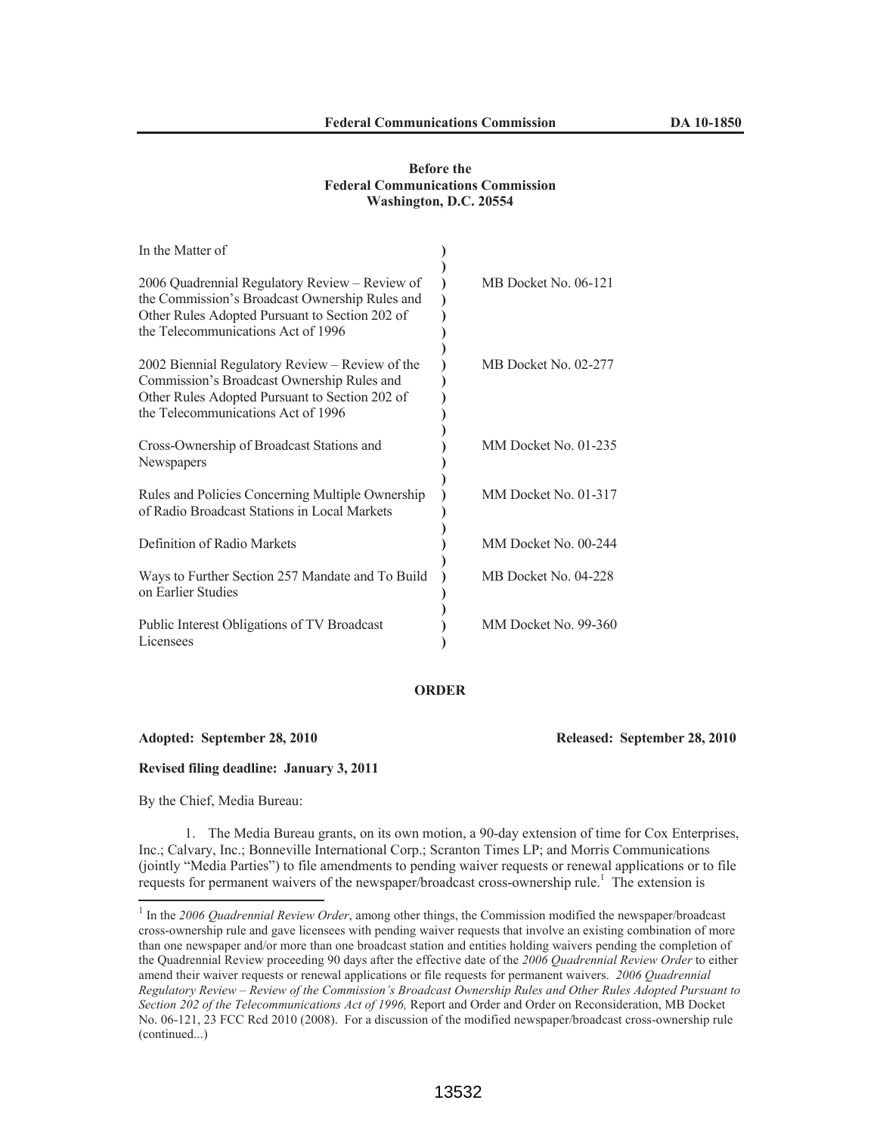## **Before the Federal Communications Commission Washington, D.C. 20554**

| In the Matter of                                                                                                                                                                         |                      |
|------------------------------------------------------------------------------------------------------------------------------------------------------------------------------------------|----------------------|
| 2006 Quadrennial Regulatory Review – Review of<br>the Commission's Broadcast Ownership Rules and<br>Other Rules Adopted Pursuant to Section 202 of<br>the Telecommunications Act of 1996 | MB Docket No. 06-121 |
| 2002 Biennial Regulatory Review - Review of the<br>Commission's Broadcast Ownership Rules and<br>Other Rules Adopted Pursuant to Section 202 of<br>the Telecommunications Act of 1996    | MB Docket No. 02-277 |
| Cross-Ownership of Broadcast Stations and<br>Newspapers                                                                                                                                  | MM Docket No. 01-235 |
| Rules and Policies Concerning Multiple Ownership<br>of Radio Broadcast Stations in Local Markets                                                                                         | MM Docket No. 01-317 |
| Definition of Radio Markets                                                                                                                                                              | MM Docket No. 00-244 |
| Ways to Further Section 257 Mandate and To Build<br>on Earlier Studies                                                                                                                   | MB Docket No. 04-228 |
| Public Interest Obligations of TV Broadcast<br>Licensees                                                                                                                                 | MM Docket No. 99-360 |

## **ORDER**

**Adopted: September 28, 2010 Released: September 28, 2010** 

**Revised filing deadline: January 3, 2011**

By the Chief, Media Bureau:

1. The Media Bureau grants, on its own motion, a 90-day extension of time for Cox Enterprises, Inc.; Calvary, Inc.; Bonneville International Corp.; Scranton Times LP; and Morris Communications (jointly "Media Parties") to file amendments to pending waiver requests or renewal applications or to file requests for permanent waivers of the newspaper/broadcast cross-ownership rule.<sup>1</sup> The extension is

<sup>&</sup>lt;sup>1</sup> In the 2006 Quadrennial Review Order, among other things, the Commission modified the newspaper/broadcast cross-ownership rule and gave licensees with pending waiver requests that involve an existing combination of more than one newspaper and/or more than one broadcast station and entities holding waivers pending the completion of the Quadrennial Review proceeding 90 days after the effective date of the *2006 Quadrennial Review Order* to either amend their waiver requests or renewal applications or file requests for permanent waivers. *2006 Quadrennial Regulatory Review – Review of the Commission's Broadcast Ownership Rules and Other Rules Adopted Pursuant to Section 202 of the Telecommunications Act of 1996,* Report and Order and Order on Reconsideration, MB Docket No. 06-121, 23 FCC Rcd 2010 (2008). For a discussion of the modified newspaper/broadcast cross-ownership rule (continued...)